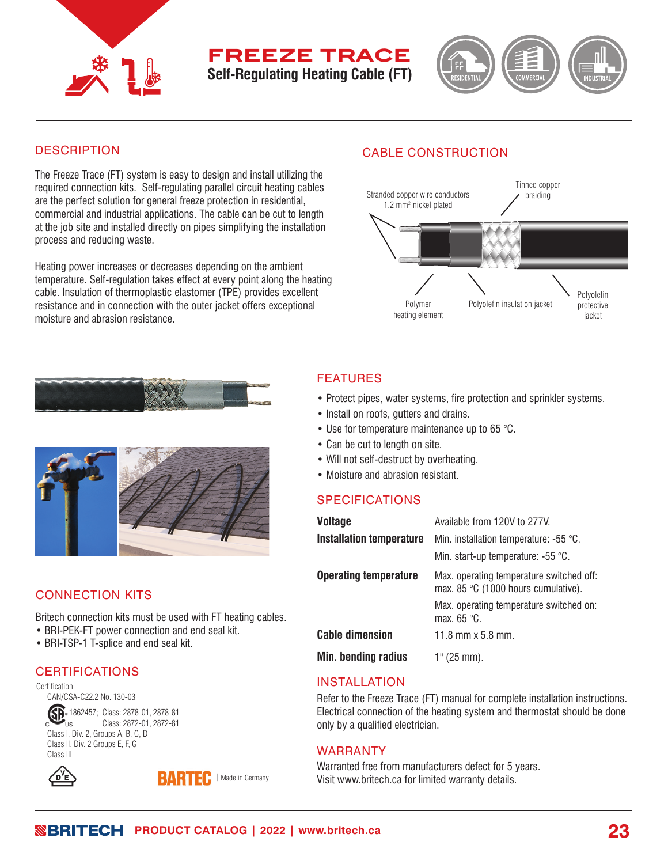

# **freeze trace Self-Regulating Heating Cable (FT)**



## **DESCRIPTION**

The Freeze Trace (FT) system is easy to design and install utilizing the required connection kits. Self-regulating parallel circuit heating cables are the perfect solution for general freeze protection in residential, commercial and industrial applications. The cable can be cut to length at the job site and installed directly on pipes simplifying the installation process and reducing waste.

Heating power increases or decreases depending on the ambient temperature. Self-regulation takes effect at every point along the heating cable. Insulation of thermoplastic elastomer (TPE) provides excellent resistance and in connection with the outer jacket offers exceptional moisture and abrasion resistance.

# CABLE CONSTRUCTION



# FEATURES

- Protect pipes, water systems, fire protection and sprinkler systems.
- Install on roofs, gutters and drains.
- Use for temperature maintenance up to 65 °C.
- Can be cut to length on site.
- Will not self-destruct by overheating.
- Moisture and abrasion resistant.

## SPECIFICATIONS

| <b>Voltage</b>                  | Available from 120V to 277V.                                                    |
|---------------------------------|---------------------------------------------------------------------------------|
| <b>Installation temperature</b> | Min. installation temperature: -55 °C.                                          |
|                                 | Min. start-up temperature: -55 °C.                                              |
| <b>Operating temperature</b>    | Max. operating temperature switched off:<br>max. 85 °C (1000 hours cumulative). |
|                                 | Max. operating temperature switched on:<br>max. $65^{\circ}$ C.                 |
| <b>Cable dimension</b>          | 11.8 mm $x$ 5.8 mm.                                                             |
| Min. bending radius             | 1" (25 mm).                                                                     |

# INSTALLATION

Refer to the Freeze Trace (FT) manual for complete installation instructions. Electrical connection of the heating system and thermostat should be done only by a qualified electrician.

#### warRANTY **59 59**

Warranted free from manufacturers defect for 5 years. Visit www.britech.ca for limited warranty details.





# CONNECTION KITS

Britech connection kits must be used with FT heating cables.

- BRI-PEK-FT power connection and end seal kit.
- BRI-TSP-1 T-splice and end seal kit.

# CERTIFICATIONS

Certification CAN/CSA-C22.2 No. 130-03 Sp. 1862457; Class: 2878-01, 2878-81 Class: 2872-01, 2872-81 Class I, Div. 2, Groups A, B, C, D Class II, Div. 2 Groups E, F, G Class III





with heating system system system system system system system system system system system system system system